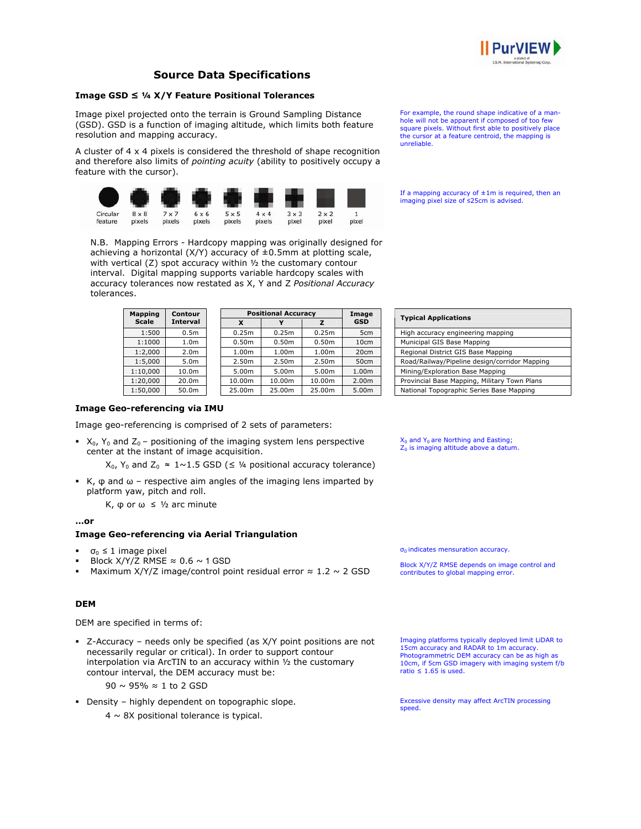

# **Source Data Specifications**

## **Image GSD ≤ ¼ X/Y Feature Positional Tolerances**

Image pixel projected onto the terrain is Ground Sampling Distance (GSD). GSD is a function of imaging altitude, which limits both feature resolution and mapping accuracy.

A cluster of 4 x 4 pixels is considered the threshold of shape recognition and therefore also limits of *pointing acuity* (ability to positively occupy a feature with the cursor).



N.B. Mapping Errors - Hardcopy mapping was originally designed for achieving a horizontal  $(X/Y)$  accuracy of  $\pm 0.5$ mm at plotting scale, with vertical (Z) spot accuracy within ½ the customary contour interval. Digital mapping supports variable hardcopy scales with accuracy tolerances now restated as X, Y and Z *Positional Accuracy* tolerances.

| <b>Mapping</b> | Contour          | <b>Positional Accuracy</b> |                   |        | Image           |
|----------------|------------------|----------------------------|-------------------|--------|-----------------|
| <b>Scale</b>   | <b>Interval</b>  | x                          |                   |        | <b>GSD</b>      |
| 1:500          | 0.5 <sub>m</sub> | 0.25m                      | 0.25m             | 0.25m  | 5 <sub>cm</sub> |
| 1:1000         | 1.0 <sub>m</sub> | 0.50m                      | 0.50 <sub>m</sub> | 0.50m  | 10cm            |
| 1:2.000        | 2.0 <sub>m</sub> | 1.00m                      | 1.00m             | 1.00m  | 20cm            |
| 1:5,000        | 5.0m             | 2.50m                      | 2.50m             | 2.50m  | 50cm            |
| 1:10.000       | 10.0m            | 5.00m                      | 5.00m             | 5.00m  | 1.00m           |
| 1:20.000       | 20.0m            | 10.00m                     | 10.00m            | 10.00m | 2.00m           |

1:50,000 50.0m 25.00m 25.00m 25.00m 5.00m National Topographic Series Base Mapping

**Typical Applications** High accuracy engineering mapping Municipal GIS Base Mapping

Road/Railway/Pipeline design/corridor Mapping

Regional District GIS Base Mapping

Mining/Exploration Base Mapping Provincial Base Mapping, Military Town Plans

 $X_0$  and  $Y_0$  are Northing and Easting;  $Z_0$  is imaging altitude above a datum.

For example, the round shape indicative of a manhole will not be apparent if composed of too few square pixels. Without first able to positively place the cursor at a feature centroid, the mapping is

If a mapping accuracy of  $\pm 1$ m is required, then an imaging pixel size of ≤25cm is advised.

unreliable.

## **Image Geo-referencing via IMU**

Image geo-referencing is comprised of 2 sets of parameters:

 $\blacktriangleright$  X<sub>0</sub>, Y<sub>0</sub> and Z<sub>0</sub> – positioning of the imaging system lens perspective center at the instant of image acquisition.

 $X_0$ ,  $Y_0$  and  $Z_0 \approx 1 \sim 1.5$  GSD ( $\leq$  1/4 positional accuracy tolerance)

 $\cdot$  K, φ and ω – respective aim angles of the imaging lens imparted by platform yaw, pitch and roll.

Κ, φ or ω ≤ ½ arc minute

## **…or**

### **Image Geo-referencing via Aerial Triangulation**

- σ<sub>0</sub>  $\leq$  1 image pixel
- Block  $X/Y/Z$  RMSE  $\approx 0.6 \sim 1$  GSD
- Maximum X/Y/Z image/control point residual error  $\approx 1.2 \sim 2$  GSD

## **DEM**

DEM are specified in terms of:

 Z-Accuracy – needs only be specified (as X/Y point positions are not necessarily regular or critical). In order to support contour interpolation via ArcTIN to an accuracy within ½ the customary contour interval, the DEM accuracy must be:

90 ~ 95% ≈ 1 to 2 GSD

Density – highly dependent on topographic slope.

 $4 \sim 8$ X positional tolerance is typical.

 $\sigma_0$  indicates mensuration accuracy.

Block X/Y/Z RMSE depends on image control and contributes to global mapping error.

Imaging platforms typically deployed limit LiDAR to 15cm accuracy and RADAR to 1m accuracy. Photogrammetric DEM accuracy can be as high as 10cm, if 5cm GSD imagery with imaging system f/b ratio  $\leq 1.65$  is used.

Excessive density may affect ArcTIN processing speed.